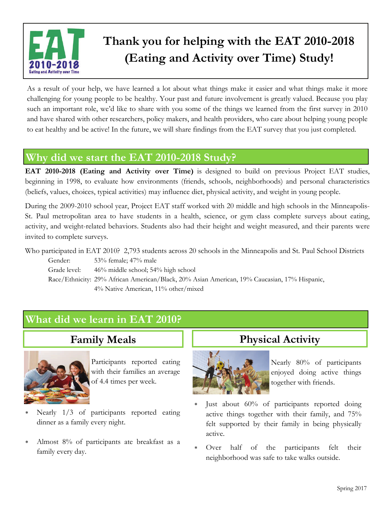

# **Thank you for helping with the EAT 2010-2018 (Eating and Activity over Time) Study!**

As a result of your help, we have learned a lot about what things make it easier and what things make it more challenging for young people to be healthy. Your past and future involvement is greatly valued. Because you play such an important role, we'd like to share with you some of the things we learned from the first survey in 2010 and have shared with other researchers, policy makers, and health providers, who care about helping young people to eat healthy and be active! In the future, we will share findings from the EAT survey that you just completed.

### **Why did we start the EAT 2010-2018 Study?**

**EAT 2010-2018 (Eating and Activity over Time)** is designed to build on previous Project EAT studies, beginning in 1998, to evaluate how environments (friends, schools, neighborhoods) and personal characteristics (beliefs, values, choices, typical activities) may influence diet, physical activity, and weight in young people.

During the 2009-2010 school year, Project EAT staff worked with 20 middle and high schools in the Minneapolis-St. Paul metropolitan area to have students in a health, science, or gym class complete surveys about eating, activity, and weight-related behaviors. Students also had their height and weight measured, and their parents were invited to complete surveys.

Who participated in EAT 2010? 2,793 students across 20 schools in the Minneapolis and St. Paul School Districts

Gender: 53% female; 47% male Grade level: 46% middle school; 54% high school Race/Ethnicity: 29% African American/Black, 20% Asian American, 19% Caucasian, 17% Hispanic, 4% Native American, 11% other/mixed

## **What did we learn in EAT 2010?**

## **Family Meals**



Participants reported eating with their families an average of 4.4 times per week.

- Nearly 1/3 of participants reported eating dinner as a family every night.
- Almost 8% of participants ate breakfast as a family every day.

#### **Physical Activity**



Nearly 80% of participants enjoyed doing active things together with friends.

- Just about 60% of participants reported doing active things together with their family, and 75% felt supported by their family in being physically active.
- Over half of the participants felt their neighborhood was safe to take walks outside.